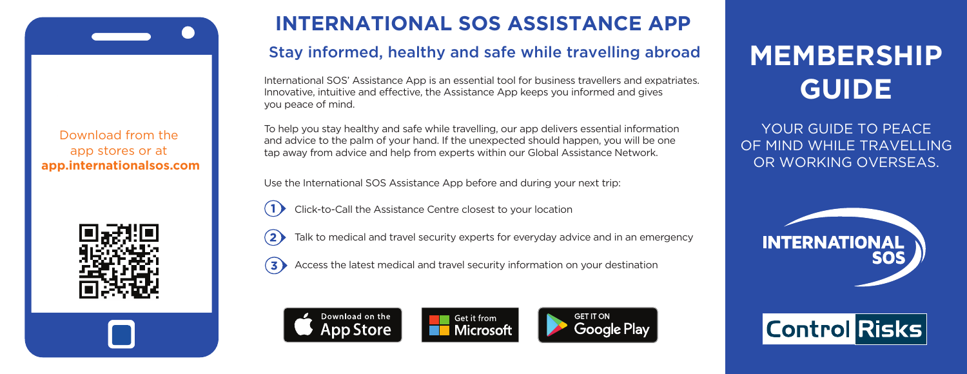Download from the app stores or at **app.internationalsos.com**



### **INTERNATIONAL SOS ASSISTANCE APP**

### Stay informed, healthy and safe while travelling abroad

International SOS' Assistance App is an essential tool for business travellers and expatriates. Innovative, intuitive and effective, the Assistance App keeps you informed and gives you peace of mind.

To help you stay healthy and safe while travelling, our app delivers essential information and advice to the palm of your hand. If the unexpected should happen, you will be one tap away from advice and help from experts within our Global Assistance Network.

Use the International SOS Assistance App before and during your next trip:

Click-to-Call the Assistance Centre closest to your location



 $(2)$  Talk to medical and travel security experts for everyday advice and in an emergency

 $\overline{3}$  Access the latest medical and travel security information on your destination





# **MEMBERSHIP GUIDE**

YOUR GUIDE TO PEACE. OF MIND WHILE TRAVELLING OR WORKING OVERSEAS.